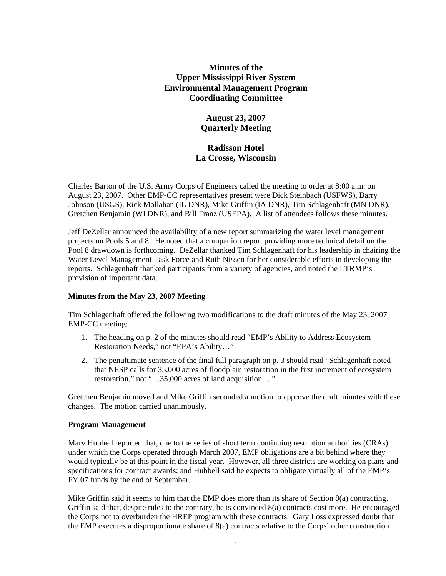# **Minutes of the Upper Mississippi River System Environmental Management Program Coordinating Committee**

# **August 23, 2007 Quarterly Meeting**

# **Radisson Hotel La Crosse, Wisconsin**

Charles Barton of the U.S. Army Corps of Engineers called the meeting to order at 8:00 a.m. on August 23, 2007. Other EMP-CC representatives present were Dick Steinbach (USFWS), Barry Johnson (USGS), Rick Mollahan (IL DNR), Mike Griffin (IA DNR), Tim Schlagenhaft (MN DNR), Gretchen Benjamin (WI DNR), and Bill Franz (USEPA). A list of attendees follows these minutes.

Jeff DeZellar announced the availability of a new report summarizing the water level management projects on Pools 5 and 8. He noted that a companion report providing more technical detail on the Pool 8 drawdown is forthcoming. DeZellar thanked Tim Schlagenhaft for his leadership in chairing the Water Level Management Task Force and Ruth Nissen for her considerable efforts in developing the reports. Schlagenhaft thanked participants from a variety of agencies, and noted the LTRMP's provision of important data.

### **Minutes from the May 23, 2007 Meeting**

Tim Schlagenhaft offered the following two modifications to the draft minutes of the May 23, 2007 EMP-CC meeting:

- 1. The heading on p. 2 of the minutes should read "EMP's Ability to Address Ecosystem Restoration Needs," not "EPA's Ability…"
- 2. The penultimate sentence of the final full paragraph on p. 3 should read "Schlagenhaft noted that NESP calls for 35,000 acres of floodplain restoration in the first increment of ecosystem restoration," not "…35,000 acres of land acquisition…."

Gretchen Benjamin moved and Mike Griffin seconded a motion to approve the draft minutes with these changes. The motion carried unanimously.

### **Program Management**

Marv Hubbell reported that, due to the series of short term continuing resolution authorities (CRAs) under which the Corps operated through March 2007, EMP obligations are a bit behind where they would typically be at this point in the fiscal year. However, all three districts are working on plans and specifications for contract awards; and Hubbell said he expects to obligate virtually all of the EMP's FY 07 funds by the end of September.

Mike Griffin said it seems to him that the EMP does more than its share of Section 8(a) contracting. Griffin said that, despite rules to the contrary, he is convinced 8(a) contracts cost more. He encouraged the Corps not to overburden the HREP program with these contracts. Gary Loss expressed doubt that the EMP executes a disproportionate share of 8(a) contracts relative to the Corps' other construction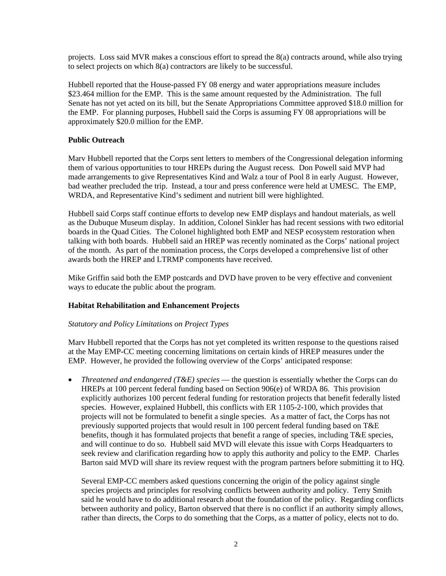projects. Loss said MVR makes a conscious effort to spread the 8(a) contracts around, while also trying to select projects on which 8(a) contractors are likely to be successful.

Hubbell reported that the House-passed FY 08 energy and water appropriations measure includes \$23.464 million for the EMP. This is the same amount requested by the Administration. The full Senate has not yet acted on its bill, but the Senate Appropriations Committee approved \$18.0 million for the EMP. For planning purposes, Hubbell said the Corps is assuming FY 08 appropriations will be approximately \$20.0 million for the EMP.

## **Public Outreach**

Marv Hubbell reported that the Corps sent letters to members of the Congressional delegation informing them of various opportunities to tour HREPs during the August recess. Don Powell said MVP had made arrangements to give Representatives Kind and Walz a tour of Pool 8 in early August. However, bad weather precluded the trip. Instead, a tour and press conference were held at UMESC. The EMP, WRDA, and Representative Kind's sediment and nutrient bill were highlighted.

Hubbell said Corps staff continue efforts to develop new EMP displays and handout materials, as well as the Dubuque Museum display. In addition, Colonel Sinkler has had recent sessions with two editorial boards in the Quad Cities. The Colonel highlighted both EMP and NESP ecosystem restoration when talking with both boards. Hubbell said an HREP was recently nominated as the Corps' national project of the month. As part of the nomination process, the Corps developed a comprehensive list of other awards both the HREP and LTRMP components have received.

Mike Griffin said both the EMP postcards and DVD have proven to be very effective and convenient ways to educate the public about the program.

### **Habitat Rehabilitation and Enhancement Projects**

### *Statutory and Policy Limitations on Project Types*

Marv Hubbell reported that the Corps has not yet completed its written response to the questions raised at the May EMP-CC meeting concerning limitations on certain kinds of HREP measures under the EMP. However, he provided the following overview of the Corps' anticipated response:

• *Threatened and endangered (T&E) species* — the question is essentially whether the Corps can do HREPs at 100 percent federal funding based on Section 906(e) of WRDA 86. This provision explicitly authorizes 100 percent federal funding for restoration projects that benefit federally listed species. However, explained Hubbell, this conflicts with ER 1105-2-100, which provides that projects will not be formulated to benefit a single species. As a matter of fact, the Corps has not previously supported projects that would result in 100 percent federal funding based on T&E benefits, though it has formulated projects that benefit a range of species, including T&E species, and will continue to do so. Hubbell said MVD will elevate this issue with Corps Headquarters to seek review and clarification regarding how to apply this authority and policy to the EMP. Charles Barton said MVD will share its review request with the program partners before submitting it to HQ.

Several EMP-CC members asked questions concerning the origin of the policy against single species projects and principles for resolving conflicts between authority and policy. Terry Smith said he would have to do additional research about the foundation of the policy. Regarding conflicts between authority and policy, Barton observed that there is no conflict if an authority simply allows, rather than directs, the Corps to do something that the Corps, as a matter of policy, elects not to do.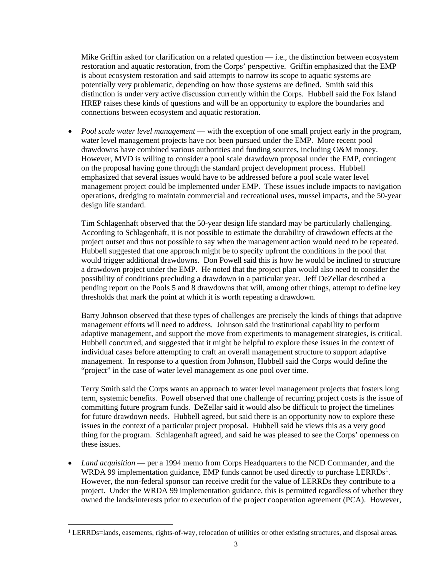Mike Griffin asked for clarification on a related question  $-$  i.e., the distinction between ecosystem restoration and aquatic restoration, from the Corps' perspective. Griffin emphasized that the EMP is about ecosystem restoration and said attempts to narrow its scope to aquatic systems are potentially very problematic, depending on how those systems are defined. Smith said this distinction is under very active discussion currently within the Corps. Hubbell said the Fox Island HREP raises these kinds of questions and will be an opportunity to explore the boundaries and connections between ecosystem and aquatic restoration.

• *Pool scale water level management* — with the exception of one small project early in the program, water level management projects have not been pursued under the EMP. More recent pool drawdowns have combined various authorities and funding sources, including O&M money. However, MVD is willing to consider a pool scale drawdown proposal under the EMP, contingent on the proposal having gone through the standard project development process. Hubbell emphasized that several issues would have to be addressed before a pool scale water level management project could be implemented under EMP. These issues include impacts to navigation operations, dredging to maintain commercial and recreational uses, mussel impacts, and the 50-year design life standard.

Tim Schlagenhaft observed that the 50-year design life standard may be particularly challenging. According to Schlagenhaft, it is not possible to estimate the durability of drawdown effects at the project outset and thus not possible to say when the management action would need to be repeated. Hubbell suggested that one approach might be to specify upfront the conditions in the pool that would trigger additional drawdowns. Don Powell said this is how he would be inclined to structure a drawdown project under the EMP. He noted that the project plan would also need to consider the possibility of conditions precluding a drawdown in a particular year. Jeff DeZellar described a pending report on the Pools 5 and 8 drawdowns that will, among other things, attempt to define key thresholds that mark the point at which it is worth repeating a drawdown.

Barry Johnson observed that these types of challenges are precisely the kinds of things that adaptive management efforts will need to address. Johnson said the institutional capability to perform adaptive management, and support the move from experiments to management strategies, is critical. Hubbell concurred, and suggested that it might be helpful to explore these issues in the context of individual cases before attempting to craft an overall management structure to support adaptive management. In response to a question from Johnson, Hubbell said the Corps would define the "project" in the case of water level management as one pool over time.

Terry Smith said the Corps wants an approach to water level management projects that fosters long term, systemic benefits. Powell observed that one challenge of recurring project costs is the issue of committing future program funds. DeZellar said it would also be difficult to project the timelines for future drawdown needs. Hubbell agreed, but said there is an opportunity now to explore these issues in the context of a particular project proposal. Hubbell said he views this as a very good thing for the program. Schlagenhaft agreed, and said he was pleased to see the Corps' openness on these issues.

• *Land acquisition* — per a 1994 memo from Corps Headquarters to the NCD Commander, and the WRDA 99 implementation guidance, EMP funds cannot be used directly to purchase  $LERRDs<sup>1</sup>$  $LERRDs<sup>1</sup>$  $LERRDs<sup>1</sup>$ . However, the non-federal sponsor can receive credit for the value of LERRDs they contribute to a project. Under the WRDA 99 implementation guidance, this is permitted regardless of whether they owned the lands/interests prior to execution of the project cooperation agreement (PCA). However,

<span id="page-2-0"></span><sup>&</sup>lt;sup>1</sup> LERRDs=lands, easements, rights-of-way, relocation of utilities or other existing structures, and disposal areas.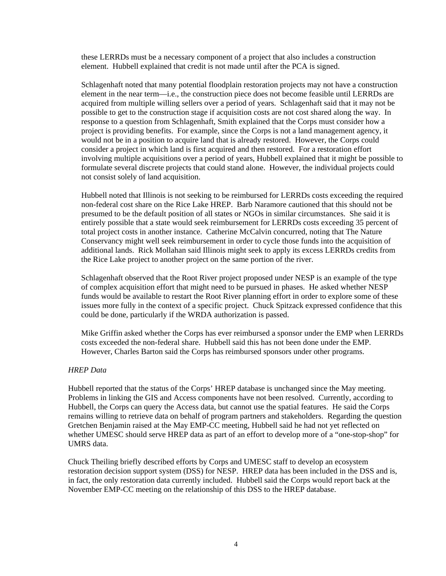these LERRDs must be a necessary component of a project that also includes a construction element. Hubbell explained that credit is not made until after the PCA is signed.

Schlagenhaft noted that many potential floodplain restoration projects may not have a construction element in the near term—i.e., the construction piece does not become feasible until LERRDs are acquired from multiple willing sellers over a period of years. Schlagenhaft said that it may not be possible to get to the construction stage if acquisition costs are not cost shared along the way. In response to a question from Schlagenhaft, Smith explained that the Corps must consider how a project is providing benefits. For example, since the Corps is not a land management agency, it would not be in a position to acquire land that is already restored. However, the Corps could consider a project in which land is first acquired and then restored. For a restoration effort involving multiple acquisitions over a period of years, Hubbell explained that it might be possible to formulate several discrete projects that could stand alone. However, the individual projects could not consist solely of land acquisition.

Hubbell noted that Illinois is not seeking to be reimbursed for LERRDs costs exceeding the required non-federal cost share on the Rice Lake HREP. Barb Naramore cautioned that this should not be presumed to be the default position of all states or NGOs in similar circumstances. She said it is entirely possible that a state would seek reimbursement for LERRDs costs exceeding 35 percent of total project costs in another instance. Catherine McCalvin concurred, noting that The Nature Conservancy might well seek reimbursement in order to cycle those funds into the acquisition of additional lands. Rick Mollahan said Illinois might seek to apply its excess LERRDs credits from the Rice Lake project to another project on the same portion of the river.

Schlagenhaft observed that the Root River project proposed under NESP is an example of the type of complex acquisition effort that might need to be pursued in phases. He asked whether NESP funds would be available to restart the Root River planning effort in order to explore some of these issues more fully in the context of a specific project. Chuck Spitzack expressed confidence that this could be done, particularly if the WRDA authorization is passed.

Mike Griffin asked whether the Corps has ever reimbursed a sponsor under the EMP when LERRDs costs exceeded the non-federal share. Hubbell said this has not been done under the EMP. However, Charles Barton said the Corps has reimbursed sponsors under other programs.

#### *HREP Data*

Hubbell reported that the status of the Corps' HREP database is unchanged since the May meeting. Problems in linking the GIS and Access components have not been resolved. Currently, according to Hubbell, the Corps can query the Access data, but cannot use the spatial features. He said the Corps remains willing to retrieve data on behalf of program partners and stakeholders. Regarding the question Gretchen Benjamin raised at the May EMP-CC meeting, Hubbell said he had not yet reflected on whether UMESC should serve HREP data as part of an effort to develop more of a "one-stop-shop" for UMRS data.

Chuck Theiling briefly described efforts by Corps and UMESC staff to develop an ecosystem restoration decision support system (DSS) for NESP. HREP data has been included in the DSS and is, in fact, the only restoration data currently included. Hubbell said the Corps would report back at the November EMP-CC meeting on the relationship of this DSS to the HREP database.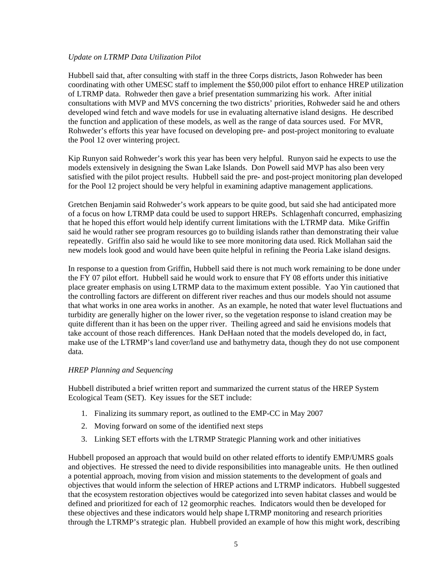#### *Update on LTRMP Data Utilization Pilot*

Hubbell said that, after consulting with staff in the three Corps districts, Jason Rohweder has been coordinating with other UMESC staff to implement the \$50,000 pilot effort to enhance HREP utilization of LTRMP data. Rohweder then gave a brief presentation summarizing his work. After initial consultations with MVP and MVS concerning the two districts' priorities, Rohweder said he and others developed wind fetch and wave models for use in evaluating alternative island designs. He described the function and application of these models, as well as the range of data sources used. For MVR, Rohweder's efforts this year have focused on developing pre- and post-project monitoring to evaluate the Pool 12 over wintering project.

Kip Runyon said Rohweder's work this year has been very helpful. Runyon said he expects to use the models extensively in designing the Swan Lake Islands. Don Powell said MVP has also been very satisfied with the pilot project results. Hubbell said the pre- and post-project monitoring plan developed for the Pool 12 project should be very helpful in examining adaptive management applications.

Gretchen Benjamin said Rohweder's work appears to be quite good, but said she had anticipated more of a focus on how LTRMP data could be used to support HREPs. Schlagenhaft concurred, emphasizing that he hoped this effort would help identify current limitations with the LTRMP data. Mike Griffin said he would rather see program resources go to building islands rather than demonstrating their value repeatedly. Griffin also said he would like to see more monitoring data used. Rick Mollahan said the new models look good and would have been quite helpful in refining the Peoria Lake island designs.

In response to a question from Griffin, Hubbell said there is not much work remaining to be done under the FY 07 pilot effort. Hubbell said he would work to ensure that FY 08 efforts under this initiative place greater emphasis on using LTRMP data to the maximum extent possible. Yao Yin cautioned that the controlling factors are different on different river reaches and thus our models should not assume that what works in one area works in another. As an example, he noted that water level fluctuations and turbidity are generally higher on the lower river, so the vegetation response to island creation may be quite different than it has been on the upper river. Theiling agreed and said he envisions models that take account of those reach differences. Hank DeHaan noted that the models developed do, in fact, make use of the LTRMP's land cover/land use and bathymetry data, though they do not use component data.

### *HREP Planning and Sequencing*

Hubbell distributed a brief written report and summarized the current status of the HREP System Ecological Team (SET). Key issues for the SET include:

- 1. Finalizing its summary report, as outlined to the EMP-CC in May 2007
- 2. Moving forward on some of the identified next steps
- 3. Linking SET efforts with the LTRMP Strategic Planning work and other initiatives

Hubbell proposed an approach that would build on other related efforts to identify EMP/UMRS goals and objectives. He stressed the need to divide responsibilities into manageable units. He then outlined a potential approach, moving from vision and mission statements to the development of goals and objectives that would inform the selection of HREP actions and LTRMP indicators. Hubbell suggested that the ecosystem restoration objectives would be categorized into seven habitat classes and would be defined and prioritized for each of 12 geomorphic reaches. Indicators would then be developed for these objectives and these indicators would help shape LTRMP monitoring and research priorities through the LTRMP's strategic plan. Hubbell provided an example of how this might work, describing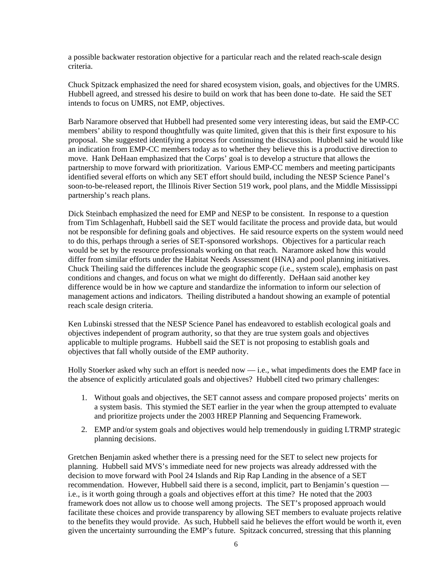a possible backwater restoration objective for a particular reach and the related reach-scale design criteria.

Chuck Spitzack emphasized the need for shared ecosystem vision, goals, and objectives for the UMRS. Hubbell agreed, and stressed his desire to build on work that has been done to-date. He said the SET intends to focus on UMRS, not EMP, objectives.

Barb Naramore observed that Hubbell had presented some very interesting ideas, but said the EMP-CC members' ability to respond thoughtfully was quite limited, given that this is their first exposure to his proposal. She suggested identifying a process for continuing the discussion. Hubbell said he would like an indication from EMP-CC members today as to whether they believe this is a productive direction to move. Hank DeHaan emphasized that the Corps' goal is to develop a structure that allows the partnership to move forward with prioritization. Various EMP-CC members and meeting participants identified several efforts on which any SET effort should build, including the NESP Science Panel's soon-to-be-released report, the Illinois River Section 519 work, pool plans, and the Middle Mississippi partnership's reach plans.

Dick Steinbach emphasized the need for EMP and NESP to be consistent. In response to a question from Tim Schlagenhaft, Hubbell said the SET would facilitate the process and provide data, but would not be responsible for defining goals and objectives. He said resource experts on the system would need to do this, perhaps through a series of SET-sponsored workshops. Objectives for a particular reach would be set by the resource professionals working on that reach. Naramore asked how this would differ from similar efforts under the Habitat Needs Assessment (HNA) and pool planning initiatives. Chuck Theiling said the differences include the geographic scope (i.e., system scale), emphasis on past conditions and changes, and focus on what we might do differently. DeHaan said another key difference would be in how we capture and standardize the information to inform our selection of management actions and indicators. Theiling distributed a handout showing an example of potential reach scale design criteria.

Ken Lubinski stressed that the NESP Science Panel has endeavored to establish ecological goals and objectives independent of program authority, so that they are true system goals and objectives applicable to multiple programs. Hubbell said the SET is not proposing to establish goals and objectives that fall wholly outside of the EMP authority.

Holly Stoerker asked why such an effort is needed now — i.e., what impediments does the EMP face in the absence of explicitly articulated goals and objectives? Hubbell cited two primary challenges:

- 1. Without goals and objectives, the SET cannot assess and compare proposed projects' merits on a system basis. This stymied the SET earlier in the year when the group attempted to evaluate and prioritize projects under the 2003 HREP Planning and Sequencing Framework.
- 2. EMP and/or system goals and objectives would help tremendously in guiding LTRMP strategic planning decisions.

Gretchen Benjamin asked whether there is a pressing need for the SET to select new projects for planning. Hubbell said MVS's immediate need for new projects was already addressed with the decision to move forward with Pool 24 Islands and Rip Rap Landing in the absence of a SET recommendation. However, Hubbell said there is a second, implicit, part to Benjamin's question i.e., is it worth going through a goals and objectives effort at this time? He noted that the 2003 framework does not allow us to choose well among projects. The SET's proposed approach would facilitate these choices and provide transparency by allowing SET members to evaluate projects relative to the benefits they would provide. As such, Hubbell said he believes the effort would be worth it, even given the uncertainty surrounding the EMP's future. Spitzack concurred, stressing that this planning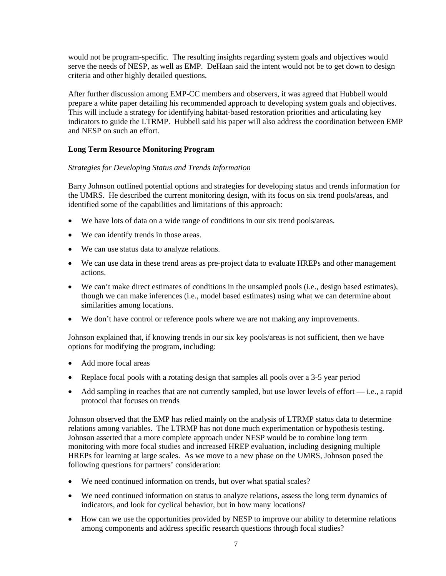would not be program-specific. The resulting insights regarding system goals and objectives would serve the needs of NESP, as well as EMP. DeHaan said the intent would not be to get down to design criteria and other highly detailed questions.

After further discussion among EMP-CC members and observers, it was agreed that Hubbell would prepare a white paper detailing his recommended approach to developing system goals and objectives. This will include a strategy for identifying habitat-based restoration priorities and articulating key indicators to guide the LTRMP. Hubbell said his paper will also address the coordination between EMP and NESP on such an effort.

## **Long Term Resource Monitoring Program**

### *Strategies for Developing Status and Trends Information*

Barry Johnson outlined potential options and strategies for developing status and trends information for the UMRS. He described the current monitoring design, with its focus on six trend pools/areas, and identified some of the capabilities and limitations of this approach:

- We have lots of data on a wide range of conditions in our six trend pools/areas.
- We can identify trends in those areas.
- We can use status data to analyze relations.
- We can use data in these trend areas as pre-project data to evaluate HREPs and other management actions.
- We can't make direct estimates of conditions in the unsampled pools (i.e., design based estimates), though we can make inferences (i.e., model based estimates) using what we can determine about similarities among locations.
- We don't have control or reference pools where we are not making any improvements.

Johnson explained that, if knowing trends in our six key pools/areas is not sufficient, then we have options for modifying the program, including:

- Add more focal areas
- Replace focal pools with a rotating design that samples all pools over a 3-5 year period
- Add sampling in reaches that are not currently sampled, but use lower levels of effort i.e., a rapid protocol that focuses on trends

Johnson observed that the EMP has relied mainly on the analysis of LTRMP status data to determine relations among variables. The LTRMP has not done much experimentation or hypothesis testing. Johnson asserted that a more complete approach under NESP would be to combine long term monitoring with more focal studies and increased HREP evaluation, including designing multiple HREPs for learning at large scales. As we move to a new phase on the UMRS, Johnson posed the following questions for partners' consideration:

- We need continued information on trends, but over what spatial scales?
- We need continued information on status to analyze relations, assess the long term dynamics of indicators, and look for cyclical behavior, but in how many locations?
- How can we use the opportunities provided by NESP to improve our ability to determine relations among components and address specific research questions through focal studies?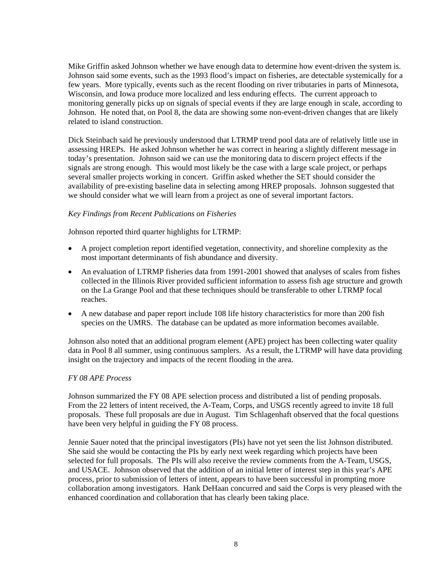Mike Griffin asked Johnson whether we have enough data to determine how event-driven the system is. Johnson said some events, such as the 1993 flood's impact on fisheries, are detectable systemically for a few years. More typically, events such as the recent flooding on river tributaries in parts of Minnesota, Wisconsin, and Iowa produce more localized and less enduring effects. The current approach to monitoring generally picks up on signals of special events if they are large enough in scale, according to Johnson. He noted that, on Pool 8, the data are showing some non-event-driven changes that are likely related to island construction.

Dick Steinbach said he previously understood that LTRMP trend pool data are of relatively little use in assessing HREPs. He asked Johnson whether he was correct in hearing a slightly different message in today's presentation. Johnson said we can use the monitoring data to discern project effects if the signals are strong enough. This would most likely be the case with a large scale project, or perhaps several smaller projects working in concert. Griffin asked whether the SET should consider the availability of pre-existing baseline data in selecting among HREP proposals. Johnson suggested that we should consider what we will learn from a project as one of several important factors.

### *Key Findings from Recent Publications on Fisheries*

Johnson reported third quarter highlights for LTRMP:

- A project completion report identified vegetation, connectivity, and shoreline complexity as the most important determinants of fish abundance and diversity.
- An evaluation of LTRMP fisheries data from 1991-2001 showed that analyses of scales from fishes collected in the Illinois River provided sufficient information to assess fish age structure and growth on the La Grange Pool and that these techniques should be transferable to other LTRMP focal reaches.
- A new database and paper report include 108 life history characteristics for more than 200 fish species on the UMRS. The database can be updated as more information becomes available.

Johnson also noted that an additional program element (APE) project has been collecting water quality data in Pool 8 all summer, using continuous samplers. As a result, the LTRMP will have data providing insight on the trajectory and impacts of the recent flooding in the area.

#### *FY 08 APE Process*

Johnson summarized the FY 08 APE selection process and distributed a list of pending proposals. From the 22 letters of intent received, the A-Team, Corps, and USGS recently agreed to invite 18 full proposals. These full proposals are due in August. Tim Schlagenhaft observed that the focal questions have been very helpful in guiding the FY 08 process.

Jennie Sauer noted that the principal investigators (PIs) have not yet seen the list Johnson distributed. She said she would be contacting the PIs by early next week regarding which projects have been selected for full proposals. The PIs will also receive the review comments from the A-Team, USGS, and USACE. Johnson observed that the addition of an initial letter of interest step in this year's APE process, prior to submission of letters of intent, appears to have been successful in prompting more collaboration among investigators. Hank DeHaan concurred and said the Corps is very pleased with the enhanced coordination and collaboration that has clearly been taking place.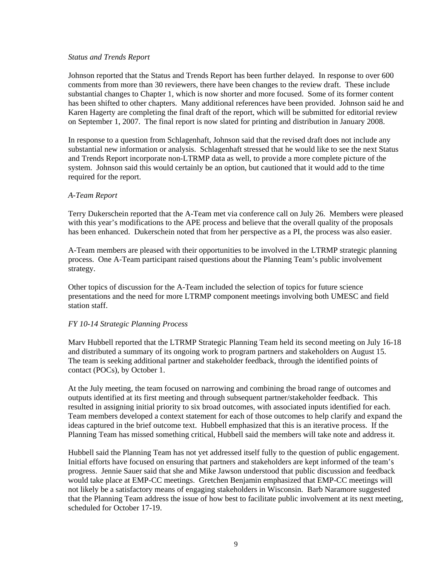#### *Status and Trends Report*

Johnson reported that the Status and Trends Report has been further delayed. In response to over 600 comments from more than 30 reviewers, there have been changes to the review draft. These include substantial changes to Chapter 1, which is now shorter and more focused. Some of its former content has been shifted to other chapters. Many additional references have been provided. Johnson said he and Karen Hagerty are completing the final draft of the report, which will be submitted for editorial review on September 1, 2007. The final report is now slated for printing and distribution in January 2008.

In response to a question from Schlagenhaft, Johnson said that the revised draft does not include any substantial new information or analysis. Schlagenhaft stressed that he would like to see the next Status and Trends Report incorporate non-LTRMP data as well, to provide a more complete picture of the system. Johnson said this would certainly be an option, but cautioned that it would add to the time required for the report.

### *A-Team Report*

Terry Dukerschein reported that the A-Team met via conference call on July 26. Members were pleased with this year's modifications to the APE process and believe that the overall quality of the proposals has been enhanced. Dukerschein noted that from her perspective as a PI, the process was also easier.

A-Team members are pleased with their opportunities to be involved in the LTRMP strategic planning process. One A-Team participant raised questions about the Planning Team's public involvement strategy.

Other topics of discussion for the A-Team included the selection of topics for future science presentations and the need for more LTRMP component meetings involving both UMESC and field station staff.

### *FY 10-14 Strategic Planning Process*

Marv Hubbell reported that the LTRMP Strategic Planning Team held its second meeting on July 16-18 and distributed a summary of its ongoing work to program partners and stakeholders on August 15. The team is seeking additional partner and stakeholder feedback, through the identified points of contact (POCs), by October 1.

At the July meeting, the team focused on narrowing and combining the broad range of outcomes and outputs identified at its first meeting and through subsequent partner/stakeholder feedback. This resulted in assigning initial priority to six broad outcomes, with associated inputs identified for each. Team members developed a context statement for each of those outcomes to help clarify and expand the ideas captured in the brief outcome text. Hubbell emphasized that this is an iterative process. If the Planning Team has missed something critical, Hubbell said the members will take note and address it.

Hubbell said the Planning Team has not yet addressed itself fully to the question of public engagement. Initial efforts have focused on ensuring that partners and stakeholders are kept informed of the team's progress. Jennie Sauer said that she and Mike Jawson understood that public discussion and feedback would take place at EMP-CC meetings. Gretchen Benjamin emphasized that EMP-CC meetings will not likely be a satisfactory means of engaging stakeholders in Wisconsin. Barb Naramore suggested that the Planning Team address the issue of how best to facilitate public involvement at its next meeting, scheduled for October 17-19.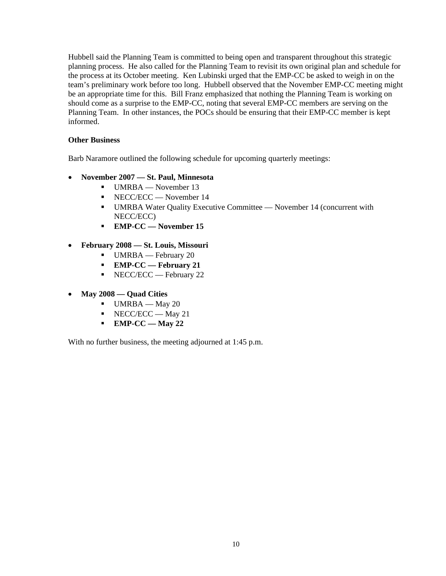Hubbell said the Planning Team is committed to being open and transparent throughout this strategic planning process. He also called for the Planning Team to revisit its own original plan and schedule for the process at its October meeting. Ken Lubinski urged that the EMP-CC be asked to weigh in on the team's preliminary work before too long. Hubbell observed that the November EMP-CC meeting might be an appropriate time for this. Bill Franz emphasized that nothing the Planning Team is working on should come as a surprise to the EMP-CC, noting that several EMP-CC members are serving on the Planning Team. In other instances, the POCs should be ensuring that their EMP-CC member is kept informed.

# **Other Business**

Barb Naramore outlined the following schedule for upcoming quarterly meetings:

- **November 2007 — St. Paul, Minnesota**
	- UMRBA November 13
	- NECC/ECC November 14
	- UMRBA Water Quality Executive Committee November 14 (concurrent with NECC/ECC)
	- **EMP-CC — November 15**
- **February 2008 — St. Louis, Missouri**
	- UMRBA February 20
	- **EMP-CC — February 21**
	- NECC/ECC February 22
- **May 2008 — Quad Cities**
	- $-$  UMRBA May 20
	- $NECC/ECC May 21$
	- **EMP-CC — May 22**

With no further business, the meeting adjourned at 1:45 p.m.